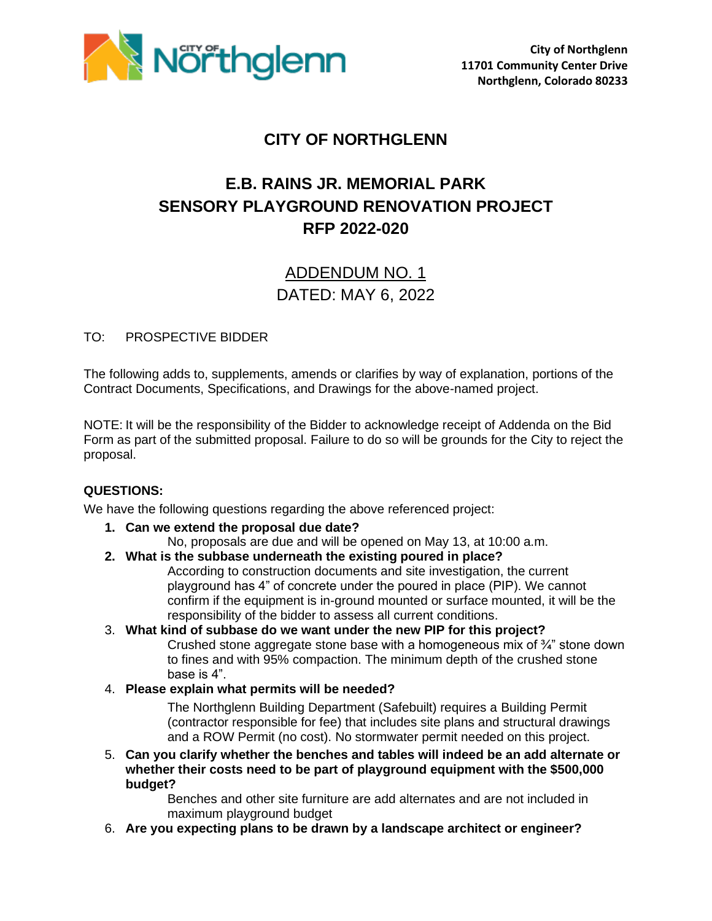

### **CITY OF NORTHGLENN**

# **E.B. RAINS JR. MEMORIAL PARK SENSORY PLAYGROUND RENOVATION PROJECT RFP 2022-020**

## ADDENDUM NO. 1 DATED: MAY 6, 2022

#### TO: PROSPECTIVE BIDDER

The following adds to, supplements, amends or clarifies by way of explanation, portions of the Contract Documents, Specifications, and Drawings for the above-named project.

NOTE: It will be the responsibility of the Bidder to acknowledge receipt of Addenda on the Bid Form as part of the submitted proposal. Failure to do so will be grounds for the City to reject the proposal.

#### **QUESTIONS:**

We have the following questions regarding the above referenced project:

- **1. Can we extend the proposal due date?** 
	- No, proposals are due and will be opened on May 13, at 10:00 a.m.
- **2. What is the subbase underneath the existing poured in place?**

According to construction documents and site investigation, the current playground has 4" of concrete under the poured in place (PIP). We cannot confirm if the equipment is in-ground mounted or surface mounted, it will be the responsibility of the bidder to assess all current conditions.

- 3. **What kind of subbase do we want under the new PIP for this project?**  Crushed stone aggregate stone base with a homogeneous mix of ¾" stone down to fines and with 95% compaction. The minimum depth of the crushed stone base is 4".
- 4. **Please explain what permits will be needed?**

The Northglenn Building Department (Safebuilt) requires a Building Permit (contractor responsible for fee) that includes site plans and structural drawings and a ROW Permit (no cost). No stormwater permit needed on this project.

5. **Can you clarify whether the benches and tables will indeed be an add alternate or whether their costs need to be part of playground equipment with the \$500,000 budget?** 

Benches and other site furniture are add alternates and are not included in maximum playground budget

6. **Are you expecting plans to be drawn by a landscape architect or engineer?**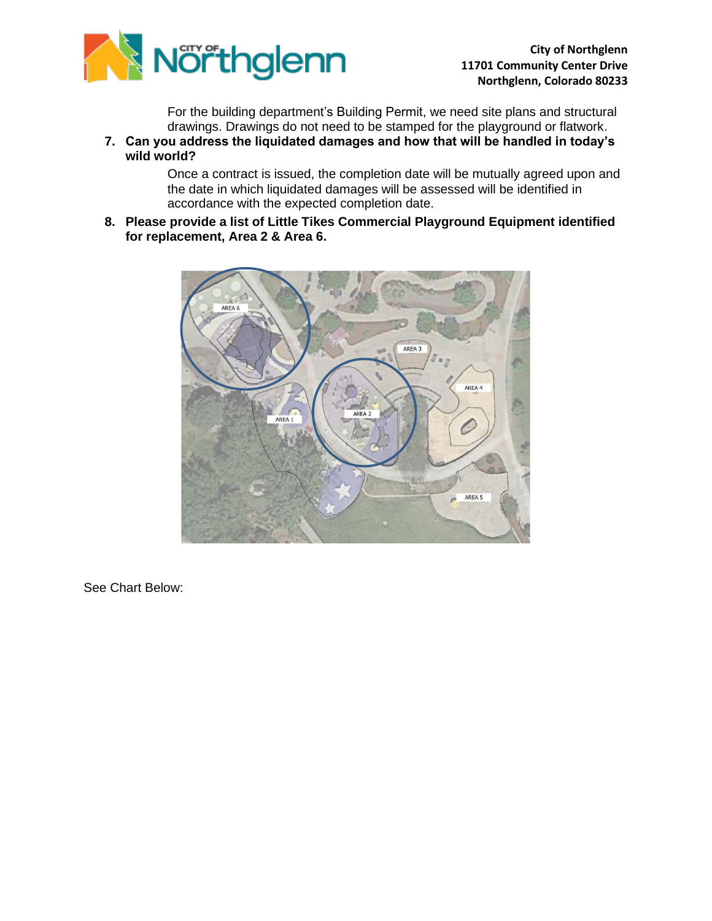

For the building department's Building Permit, we need site plans and structural drawings. Drawings do not need to be stamped for the playground or flatwork.

**7. Can you address the liquidated damages and how that will be handled in today's wild world?** 

> Once a contract is issued, the completion date will be mutually agreed upon and the date in which liquidated damages will be assessed will be identified in accordance with the expected completion date.

**8. Please provide a list of Little Tikes Commercial Playground Equipment identified for replacement, Area 2 & Area 6.** 



See Chart Below: